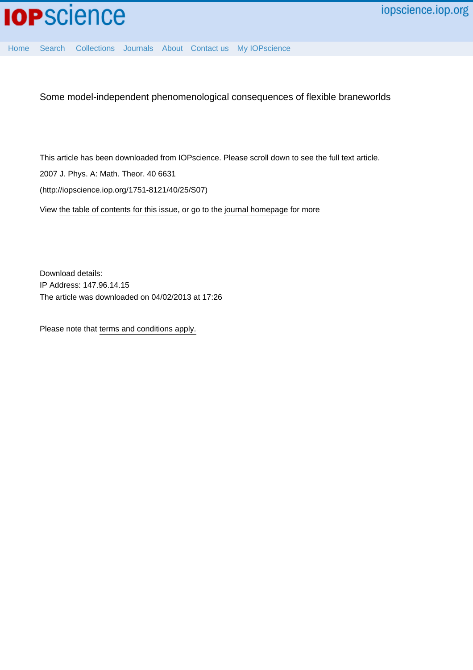

[Home](http://iopscience.iop.org/) [Search](http://iopscience.iop.org/search) [Collections](http://iopscience.iop.org/collections) [Journals](http://iopscience.iop.org/journals) [About](http://iopscience.iop.org/page/aboutioppublishing) [Contact us](http://iopscience.iop.org/contact) [My IOPscience](http://iopscience.iop.org/myiopscience)

Some model-independent phenomenological consequences of flexible braneworlds

This article has been downloaded from IOPscience. Please scroll down to see the full text article.

2007 J. Phys. A: Math. Theor. 40 6631

(http://iopscience.iop.org/1751-8121/40/25/S07)

View [the table of contents for this issue](http://iopscience.iop.org/1751-8121/40/25), or go to the [journal homepage](http://iopscience.iop.org/1751-8121) for more

Download details: IP Address: 147.96.14.15 The article was downloaded on 04/02/2013 at 17:26

Please note that [terms and conditions apply.](http://iopscience.iop.org/page/terms)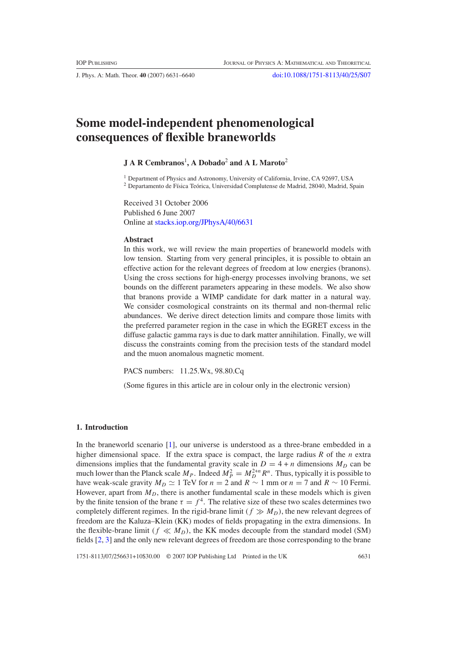J. Phys. A: Math. Theor. **40** (2007) 6631–6640 [doi:10.1088/1751-8113/40/25/S07](http://dx.doi.org/10.1088/1751-8113/40/25/S07)

# **Some model-independent phenomenological consequences of flexible braneworlds**

# **J A R Cembranos**<sup>1</sup> **, A Dobado**<sup>2</sup> **and A L Maroto**<sup>2</sup>

<sup>1</sup> Department of Physics and Astronomy, University of California, Irvine, CA 92697, USA

 $^2$  Departamento de Física Teórica, Universidad Complutense de Madrid, 28040, Madrid, Spain

Received 31 October 2006 Published 6 June 2007 Online at [stacks.iop.org/JPhysA/40/6631](http://stacks.iop.org/JPhysA/40/6631)

# **Abstract**

In this work, we will review the main properties of braneworld models with low tension. Starting from very general principles, it is possible to obtain an effective action for the relevant degrees of freedom at low energies (branons). Using the cross sections for high-energy processes involving branons, we set bounds on the different parameters appearing in these models. We also show that branons provide a WIMP candidate for dark matter in a natural way. We consider cosmological constraints on its thermal and non-thermal relic abundances. We derive direct detection limits and compare those limits with the preferred parameter region in the case in which the EGRET excess in the diffuse galactic gamma rays is due to dark matter annihilation. Finally, we will discuss the constraints coming from the precision tests of the standard model and the muon anomalous magnetic moment.

PACS numbers: 11.25.Wx, 98.80.Cq

(Some figures in this article are in colour only in the electronic version)

#### **1. Introduction**

In the braneworld scenario [\[1\]](#page-9-0), our universe is understood as a three-brane embedded in a higher dimensional space. If the extra space is compact, the large radius *R* of the *n* extra dimensions implies that the fundamental gravity scale in  $D = 4 + n$  dimensions  $M_D$  can be much lower than the Planck scale  $M_P$ . Indeed  $M_P^2 = M_D^{2+n} R^n$ . Thus, typically it is possible to have weak-scale gravity  $M_D \simeq 1$  TeV for  $n = 2$  and  $R \sim 1$  mm or  $n = 7$  and  $R \sim 10$  Fermi. However, apart from  $M<sub>D</sub>$ , there is another fundamental scale in these models which is given by the finite tension of the brane  $\tau = f^4$ . The relative size of these two scales determines two completely different regimes. In the rigid-brane limit  $(f \gg M_D)$ , the new relevant degrees of freedom are the Kaluza–Klein (KK) modes of fields propagating in the extra dimensions. In the flexible-brane limit  $(f \ll M_D)$ , the KK modes decouple from the standard model (SM) fields [\[2,](#page-9-0) [3\]](#page-9-0) and the only new relevant degrees of freedom are those corresponding to the brane

1751-8113/07/256631+10\$30.00 © 2007 IOP Publishing Ltd Printed in the UK 6631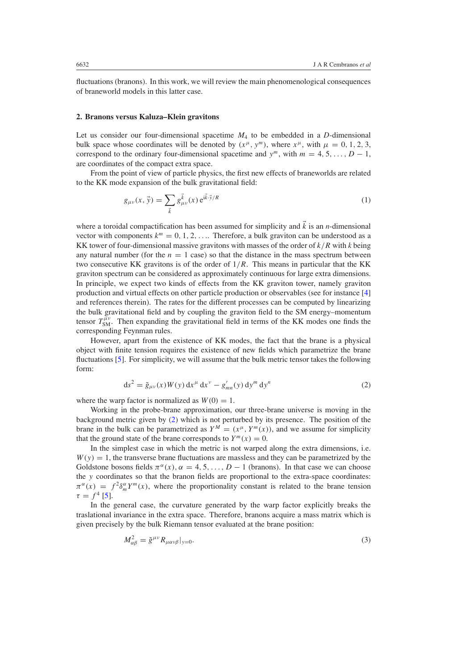fluctuations (branons). In this work, we will review the main phenomenological consequences of braneworld models in this latter case.

### **2. Branons versus Kaluza–Klein gravitons**

Let us consider our four-dimensional spacetime  $M_4$  to be embedded in a *D*-dimensional bulk space whose coordinates will be denoted by  $(x^{\mu}, y^{\mu})$ , where  $x^{\mu}$ , with  $\mu = 0, 1, 2, 3$ , correspond to the ordinary four-dimensional spacetime and  $y^m$ , with  $m = 4, 5, \ldots, D - 1$ , are coordinates of the compact extra space.

From the point of view of particle physics, the first new effects of braneworlds are related to the KK mode expansion of the bulk gravitational field:

$$
g_{\mu\nu}(x,\vec{y}) = \sum_{\vec{k}} g_{\mu\nu}^{\vec{k}}(x) e^{i\vec{k}\cdot\vec{y}/R}
$$
 (1)

where a toroidal compactification has been assumed for simplicity and  $\vec{k}$  is an *n*-dimensional vector with components  $k^m = 0, 1, 2, \ldots$  Therefore, a bulk graviton can be understood as a KK tower of four-dimensional massive gravitons with masses of the order of *k/R* with *k* being any natural number (for the  $n = 1$  case) so that the distance in the mass spectrum between two consecutive KK gravitons is of the order of 1*/R*. This means in particular that the KK graviton spectrum can be considered as approximately continuous for large extra dimensions. In principle, we expect two kinds of effects from the KK graviton tower, namely graviton production and virtual effects on other particle production or observables (see for instance [\[4](#page-9-0)] and references therein). The rates for the different processes can be computed by linearizing the bulk gravitational field and by coupling the graviton field to the SM energy–momentum tensor  $T_{\text{SM}}^{\mu\nu}$ . Then expanding the gravitational field in terms of the KK modes one finds the corresponding Feynman rules.

However, apart from the existence of KK modes, the fact that the brane is a physical object with finite tension requires the existence of new fields which parametrize the brane fluctuations [\[5\]](#page-9-0). For simplicity, we will assume that the bulk metric tensor takes the following form:

$$
ds^{2} = \tilde{g}_{\mu\nu}(x)W(y) dx^{\mu} dx^{\nu} - g'_{mn}(y) dy^{m} dy^{n}
$$
 (2)

where the warp factor is normalized as  $W(0) = 1$ .

Working in the probe-brane approximation, our three-brane universe is moving in the background metric given by (2) which is not perturbed by its presence. The position of the brane in the bulk can be parametrized as  $Y^M = (x^\mu, Y^m(x))$ , and we assume for simplicity that the ground state of the brane corresponds to  $Y^m(x) = 0$ .

In the simplest case in which the metric is not warped along the extra dimensions, i.e.  $W(y) = 1$ , the transverse brane fluctuations are massless and they can be parametrized by the Goldstone bosons fields  $\pi^{\alpha}(x)$ ,  $\alpha = 4, 5, \ldots, D-1$  (branons). In that case we can choose the *y* coordinates so that the branon fields are proportional to the extra-space coordinates:  $\pi^{\alpha}(x) = f^2 \delta_m^{\alpha} Y^m(x)$ , where the proportionality constant is related to the brane tension  $\tau = f^4$  [\[5\]](#page-9-0).

In the general case, the curvature generated by the warp factor explicitly breaks the traslational invariance in the extra space. Therefore, branons acquire a mass matrix which is given precisely by the bulk Riemann tensor evaluated at the brane position:

$$
M_{\alpha\beta}^2 = \tilde{g}^{\mu\nu} R_{\mu\alpha\nu\beta}|_{y=0}.
$$
\n(3)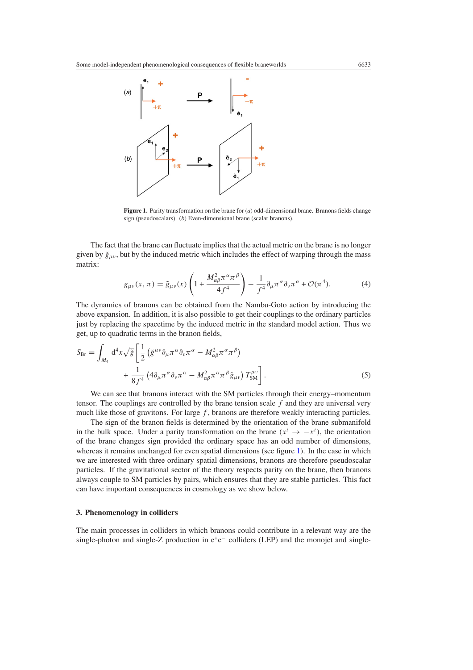<span id="page-3-0"></span>

**Figure 1.** Parity transformation on the brane for (*a*) odd-dimensional brane. Branons fields change sign (pseudoscalars). (*b*) Even-dimensional brane (scalar branons).

The fact that the brane can fluctuate implies that the actual metric on the brane is no longer given by  $\tilde{g}_{\mu\nu}$ , but by the induced metric which includes the effect of warping through the mass matrix:

$$
g_{\mu\nu}(x,\pi) = \tilde{g}_{\mu\nu}(x) \left( 1 + \frac{M_{\alpha\beta}^2 \pi^\alpha \pi^\beta}{4f^4} \right) - \frac{1}{f^4} \partial_\mu \pi^\alpha \partial_\nu \pi^\alpha + \mathcal{O}(\pi^4). \tag{4}
$$

The dynamics of branons can be obtained from the Nambu-Goto action by introducing the above expansion. In addition, it is also possible to get their couplings to the ordinary particles just by replacing the spacetime by the induced metric in the standard model action. Thus we get, up to quadratic terms in the branon fields,

$$
S_{\rm Br} = \int_{M_4} d^4x \sqrt{\tilde{g}} \left[ \frac{1}{2} \left( \tilde{g}^{\mu\nu} \partial_{\mu} \pi^{\alpha} \partial_{\nu} \pi^{\alpha} - M_{\alpha\beta}^2 \pi^{\alpha} \pi^{\beta} \right) \right. \\ \left. + \frac{1}{8f^4} \left( 4 \partial_{\mu} \pi^{\alpha} \partial_{\nu} \pi^{\alpha} - M_{\alpha\beta}^2 \pi^{\alpha} \pi^{\beta} \tilde{g}_{\mu\nu} \right) T_{\rm SM}^{\mu\nu} \right]. \tag{5}
$$

We can see that branons interact with the SM particles through their energy–momentum tensor. The couplings are controlled by the brane tension scale *f* and they are universal very much like those of gravitons. For large *f* , branons are therefore weakly interacting particles.

The sign of the branon fields is determined by the orientation of the brane submanifold in the bulk space. Under a parity transformation on the brane  $(x^{i} \rightarrow -x^{i})$ , the orientation of the brane changes sign provided the ordinary space has an odd number of dimensions, whereas it remains unchanged for even spatial dimensions (see figure 1). In the case in which we are interested with three ordinary spatial dimensions, branons are therefore pseudoscalar particles. If the gravitational sector of the theory respects parity on the brane, then branons always couple to SM particles by pairs, which ensures that they are stable particles. This fact can have important consequences in cosmology as we show below.

#### **3. Phenomenology in colliders**

The main processes in colliders in which branons could contribute in a relevant way are the single-photon and single-Z production in  $e^+e^-$  colliders (LEP) and the monojet and single-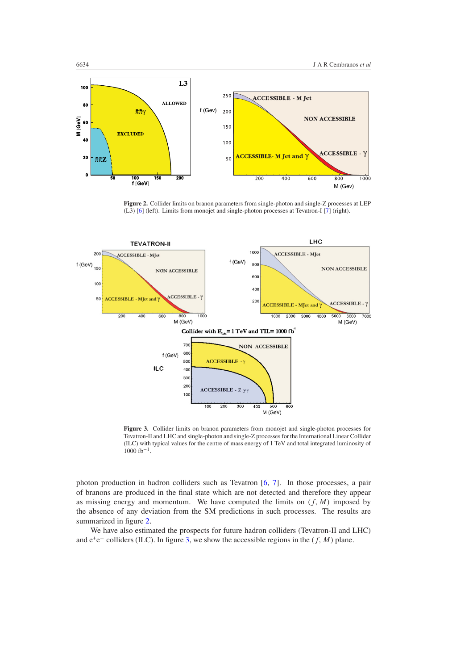<span id="page-4-0"></span>

**Figure 2.** Collider limits on branon parameters from single-photon and single-Z processes at LEP (L3) [\[6\]](#page-10-0) (left). Limits from monojet and single-photon processes at Tevatron-I [\[7\]](#page-10-0) (right).



**Figure 3.** Collider limits on branon parameters from monojet and single-photon processes for Tevatron-II and LHC and single-photon and single-Z processes for the International Linear Collider (ILC) with typical values for the centre of mass energy of 1 TeV and total integrated luminosity of  $1000$  fb<sup>-1</sup>.

photon production in hadron colliders such as Tevatron [\[6](#page-10-0), [7\]](#page-10-0). In those processes, a pair of branons are produced in the final state which are not detected and therefore they appear as missing energy and momentum. We have computed the limits on  $(f, M)$  imposed by the absence of any deviation from the SM predictions in such processes. The results are summarized in figure 2.

We have also estimated the prospects for future hadron colliders (Tevatron-II and LHC) and e+e<sup>−</sup> colliders (ILC). In figure 3, we show the accessible regions in the *(f, M)* plane.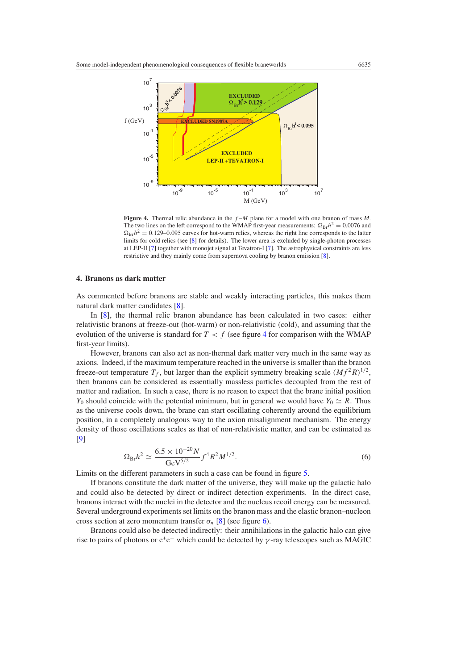

**Figure 4.** Thermal relic abundance in the *f* –*M* plane for a model with one branon of mass *M*. The two lines on the left correspond to the WMAP first-year measurements:  $\Omega_{\text{Br}}h^2 = 0.0076$  and  $\Omega_{\rm Br}h^2 = 0.129$ –0.095 curves for hot-warm relics, whereas the right line corresponds to the latter limits for cold relics (see [\[8](#page-10-0)] for details). The lower area is excluded by single-photon processes at LEP-II [\[7](#page-10-0)] together with monojet signal at Tevatron-I [\[7\]](#page-10-0). The astrophysical constraints are less restrictive and they mainly come from supernova cooling by branon emission [\[8\]](#page-10-0).

### **4. Branons as dark matter**

As commented before branons are stable and weakly interacting particles, this makes them natural dark matter candidates [\[8](#page-10-0)].

In [\[8\]](#page-10-0), the thermal relic branon abundance has been calculated in two cases: either relativistic branons at freeze-out (hot-warm) or non-relativistic (cold), and assuming that the evolution of the universe is standard for  $T < f$  (see figure 4 for comparison with the WMAP first-year limits).

However, branons can also act as non-thermal dark matter very much in the same way as axions. Indeed, if the maximum temperature reached in the universe is smaller than the branon freeze-out temperature  $T_f$ , but larger than the explicit symmetry breaking scale  $(Mf^2R)^{1/2}$ , then branons can be considered as essentially massless particles decoupled from the rest of matter and radiation. In such a case, there is no reason to expect that the brane initial position *Y*<sub>0</sub> should coincide with the potential minimum, but in general we would have  $Y_0 \simeq R$ . Thus as the universe cools down, the brane can start oscillating coherently around the equilibrium position, in a completely analogous way to the axion misalignment mechanism. The energy density of those oscillations scales as that of non-relativistic matter, and can be estimated as [\[9](#page-10-0)]

$$
\Omega_{\rm Br} h^2 \simeq \frac{6.5 \times 10^{-20} N}{\rm GeV^{5/2}} f^4 R^2 M^{1/2}.
$$
\n(6)

Limits on the different parameters in such a case can be found in figure [5.](#page-6-0)

If branons constitute the dark matter of the universe, they will make up the galactic halo and could also be detected by direct or indirect detection experiments. In the direct case, branons interact with the nuclei in the detector and the nucleus recoil energy can be measured. Several underground experiments set limits on the branon mass and the elastic branon–nucleon cross section at zero momentum transfer  $\sigma_n$  [\[8](#page-10-0)] (see figure [6\)](#page-6-0).

Branons could also be detected indirectly: their annihilations in the galactic halo can give rise to pairs of photons or e+e<sup>−</sup> which could be detected by *γ* -ray telescopes such as MAGIC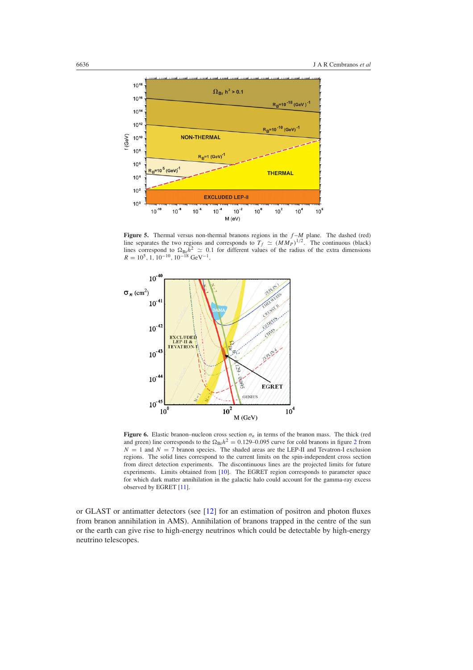<span id="page-6-0"></span>

**Figure 5.** Thermal versus non-thermal branons regions in the  $f-M$  plane. The dashed (red) line separates the two regions and corresponds to  $T_f \simeq (M M_P)^{1/2}$ . The continuous (black) lines correspond to  $\Omega_{\text{Br}}h^2 \simeq 0.1$  for different values of the radius of the extra dimensions  $R = 10^5$ , 1, 10<sup>-10</sup>, 10<sup>-18</sup> GeV<sup>-1</sup>.



**Figure 6.** Elastic branon–nucleon cross section  $\sigma_n$  in terms of the branon mass. The thick (red and green) line corresponds to the  $\Omega_{\text{Br}}h^2 = 0.129{\text -}0.095$  $\Omega_{\text{Br}}h^2 = 0.129{\text -}0.095$  $\Omega_{\text{Br}}h^2 = 0.129{\text -}0.095$  curve for cold branons in figure 2 from  $N = 1$  and  $N = 7$  branon species. The shaded areas are the LEP-II and Tevatron-I exclusion regions. The solid lines correspond to the current limits on the spin-independent cross section from direct detection experiments. The discontinuous lines are the projected limits for future experiments. Limits obtained from [\[10\]](#page-10-0). The EGRET region corresponds to parameter space for which dark matter annihilation in the galactic halo could account for the gamma-ray excess observed by EGRET [\[11\]](#page-10-0).

or GLAST or antimatter detectors (see [\[12](#page-10-0)] for an estimation of positron and photon fluxes from branon annihilation in AMS). Annihilation of branons trapped in the centre of the sun or the earth can give rise to high-energy neutrinos which could be detectable by high-energy neutrino telescopes.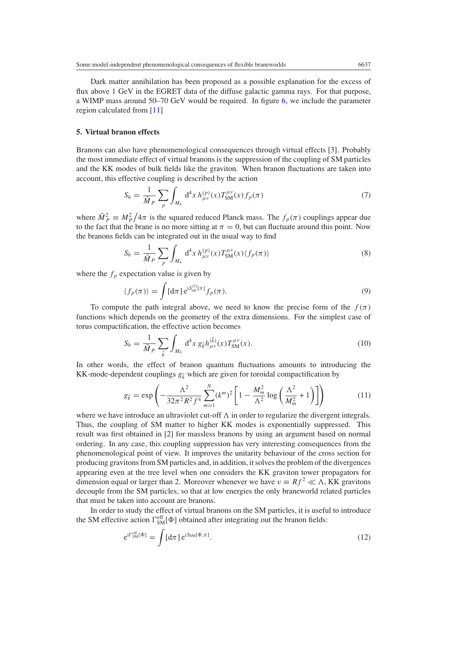Dark matter annihilation has been proposed as a possible explanation for the excess of flux above 1 GeV in the EGRET data of the diffuse galactic gamma rays. For that purpose, a WIMP mass around 50–70 GeV would be required. In figure [6,](#page-6-0) we include the parameter region calculated from [\[11\]](#page-10-0)

### **5. Virtual branon effects**

Branons can also have phenomenological consequences through virtual effects [\[3\]](#page-9-0). Probably the most immediate effect of virtual branons is the suppression of the coupling of SM particles and the KK modes of bulk fields like the graviton. When branon fluctuations are taken into account, this effective coupling is described by the action

$$
S_h = \frac{1}{\bar{M}_P} \sum_{p} \int_{M_4} d^4 x \, h_{\mu\nu}^{(p)}(x) T_{\rm SM}^{\mu\nu}(x) f_p(\pi) \tag{7}
$$

where  $\overline{M}_{P}^{2} \equiv M_{P}^{2}/4\pi$  is the squared reduced Planck mass. The  $f_{p}(\pi)$  couplings appear due to the fact that the brane is no more sitting at  $\pi = 0$ , but can fluctuate around this point. Now the branons fields can be integrated out in the usual way to find

$$
S_h = \frac{1}{\bar{M}_P} \sum_{p} \int_{M_4} d^4 x \, h_{\mu\nu}^{(p)}(x) T_{\rm SM}^{\mu\nu}(x) \langle f_p(\pi) \rangle \tag{8}
$$

where the  $f_p$  expectation value is given by

$$
\langle f_p(\pi) \rangle = \int [d\pi] e^{iS_{\text{eff}}^{(2)}[\pi]} f_p(\pi).
$$
 (9)

To compute the path integral above, we need to know the precise form of the  $f(\pi)$ functions which depends on the geometry of the extra dimensions. For the simplest case of torus compactification, the effective action becomes

$$
S_h = \frac{1}{\bar{M}_P} \sum_{\vec{k}} \int_{M_4} d^4 x \ g_{\vec{k}} h_{\mu\nu}^{(\vec{k})}(x) T_{\text{SM}}^{\mu\nu}(x). \tag{10}
$$

In other words, the effect of branon quantum fluctuations amounts to introducing the KK-mode-dependent couplings  $g_k$  which are given for toroidal compactification by

$$
g_{\vec{k}} = \exp\left(-\frac{\Lambda^2}{32\pi^2 R^2 f^4} \sum_{m=1}^N (k^m)^2 \left[1 - \frac{M_m^2}{\Lambda^2} \log\left(\frac{\Lambda^2}{M_m^2} + 1\right)\right]\right) \tag{11}
$$

where we have introduce an ultraviolet cut-off  $\Lambda$  in order to regularize the divergent integrals. Thus, the coupling of SM matter to higher KK modes is exponentially suppressed. This result was first obtained in [\[2\]](#page-9-0) for massless branons by using an argument based on normal ordering. In any case, this coupling suppression has very interesting consequences from the phenomenological point of view. It improves the unitarity behaviour of the cross section for producing gravitons from SM particles and, in addition, it solves the problem of the divergences appearing even at the tree level when one considers the KK graviton tower propagators for dimension equal or larger than 2. Moreover whenever we have  $v = Rf^2 \ll \Lambda$ , KK gravitons decouple from the SM particles, so that at low energies the only braneworld related particles that must be taken into account are branons.

In order to study the effect of virtual branons on the SM particles, it is useful to introduce the SM effective action  $\Gamma_{SM}^{\text{eff}}[\Phi]$  obtained after integrating out the branon fields:

$$
e^{i\Gamma_{\rm SM}^{\rm eff}[\Phi]} = \int [d\pi] e^{iS_{\rm SM}[\Phi,\pi]}.
$$
 (12)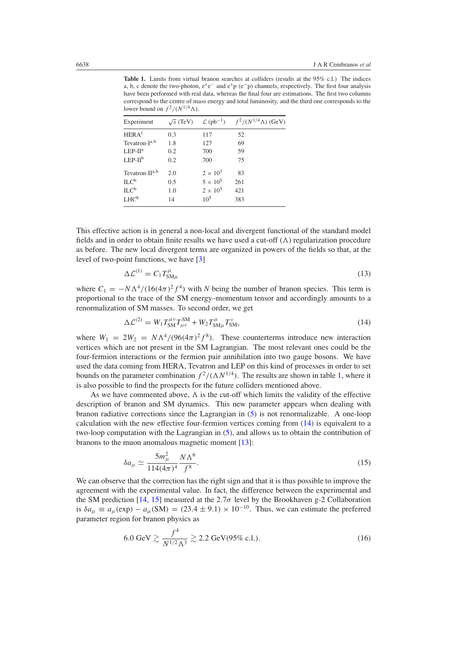**Table 1.** Limits from virtual branon searches at colliders (results at the 95% c.l.) The indices a, b, c denote the two-photon, e+e<sup>−</sup> and e+p *(*e−p*)* channels, respectively. The first four analysis have been performed with real data, whereas the final four are estimations. The first two columns correspond to the centre of mass energy and total luminosity, and the third one corresponds to the lower bound on  $f^2/(N^{1/4}\Lambda)$ .

| Experiment                | $\sqrt{s}$ (TeV) |                 | $\mathcal{L}$ (pb <sup>-1</sup> ) $f^2/(N^{1/4}\Lambda)$ (GeV) |
|---------------------------|------------------|-----------------|----------------------------------------------------------------|
| <b>HERA<sup>c</sup></b>   | 0.3              | 117             | 52                                                             |
| Tevatron-I <sup>a,b</sup> | 1.8              | 127             | 69                                                             |
| $LEP-IIa$                 | 0.2              | 700             | 59                                                             |
| $LEP-IIb$                 | 0.2              | 700             | 75                                                             |
| Tevatron- $II^{a,b}$      | 2.0              | $2 \times 10^3$ | 83                                                             |
| ILC <sup>b</sup>          | 0.5              | $5 \times 10^5$ | 261                                                            |
| ILC <sup>b</sup>          | 1.0              | $2 \times 10^5$ | 421                                                            |
| LHC <sup>b</sup>          | 14               | $10^5$          | 383                                                            |

This effective action is in general a non-local and divergent functional of the standard model fields and in order to obtain finite results we have used a cut-off  $(\Lambda)$  regularization procedure as before. The new local divergent terms are organized in powers of the fields so that, at the level of two-point functions, we have [\[3\]](#page-9-0)

$$
\Delta \mathcal{L}^{(1)} = C_1 T_{\text{SM}\mu}^{\mu} \tag{13}
$$

where  $C_1 = -N\Lambda^4/(16(4\pi)^2 f^4)$  with *N* being the number of branon species. This term is proportional to the trace of the SM energy–momentum tensor and accordingly amounts to a renormalization of SM masses. To second order, we get

$$
\Delta \mathcal{L}^{(2)} = W_1 T_{\text{SM}}^{\mu \nu} T_{\mu \nu}^{\text{SM}} + W_2 T_{\text{SM}\mu}^{\mu} T_{\text{SM}\nu}^{\nu} \tag{14}
$$

where  $W_1 = 2W_2 = N\Lambda^4/(96(4\pi)^2 f^8)$ . These counterterms introduce new interaction vertices which are not present in the SM Lagrangian. The most relevant ones could be the four-fermion interactions or the fermion pair annihilation into two gauge bosons. We have used the data coming from HERA, Tevatron and LEP on this kind of processes in order to set bounds on the parameter combination  $f^2/(\Lambda N^{1/4})$ . The results are shown in table 1, where it is also possible to find the prospects for the future colliders mentioned above.

As we have commented above,  $\Lambda$  is the cut-off which limits the validity of the effective description of branon and SM dynamics. This new parameter appears when dealing with branon radiative corrections since the Lagrangian in [\(5\)](#page-3-0) is not renormalizable. A one-loop calculation with the new effective four-fermion vertices coming from (14) is equivalent to a two-loop computation with the Lagrangian in [\(5\)](#page-3-0), and allows us to obtain the contribution of branons to the muon anomalous magnetic moment [\[13](#page-10-0)]:

$$
\delta a_{\mu} \simeq \frac{5m_{\mu}^2}{114(4\pi)^4} \frac{N\Lambda^6}{f^8}.
$$
\n(15)

We can observe that the correction has the right sign and that it is thus possible to improve the agreement with the experimental value. In fact, the difference between the experimental and the SM prediction [\[14,](#page-10-0) [15](#page-10-0)] measured at the 2.7 $\sigma$  level by the Brookhaven g-2 Collaboration is  $\delta a_{\mu} \equiv a_{\mu}(\exp) - a_{\mu}(\text{SM}) = (23.4 \pm 9.1) \times 10^{-10}$ . Thus, we can estimate the preferred parameter region for branon physics as

$$
6.0 \text{ GeV} \gtrsim \frac{f^4}{N^{1/2} \Lambda^3} \gtrsim 2.2 \text{ GeV} (95\% \text{ c.l.}). \tag{16}
$$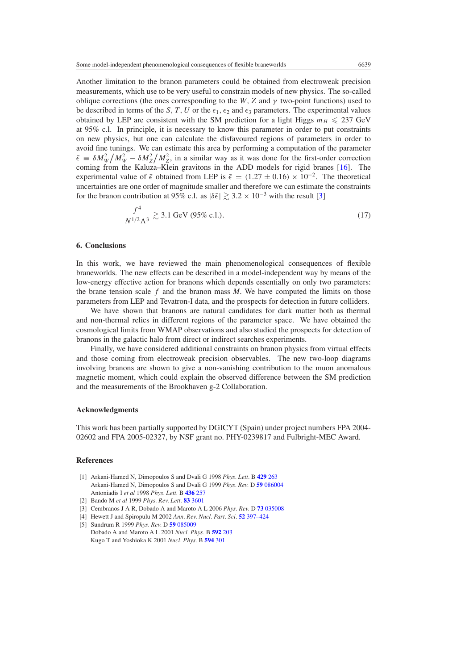<span id="page-9-0"></span>Another limitation to the branon parameters could be obtained from electroweak precision measurements, which use to be very useful to constrain models of new physics. The so-called oblique corrections (the ones corresponding to the *W*, Z and  $\gamma$  two-point functions) used to be described in terms of the *S*, *T*, *U* or the  $\epsilon_1$ ,  $\epsilon_2$  and  $\epsilon_3$  parameters. The experimental values obtained by LEP are consistent with the SM prediction for a light Higgs  $m_H \leq 237$  GeV at 95% c.l. In principle, it is necessary to know this parameter in order to put constraints on new physics, but one can calculate the disfavoured regions of parameters in order to avoid fine tunings. We can estimate this area by performing a computation of the parameter  $\bar{\epsilon} \equiv \delta M_W^2 / M_W^2 - \delta M_Z^2 / M_Z^2$ , in a similar way as it was done for the first-order correction coming from the Kaluza–Klein gravitons in the ADD models for rigid branes [\[16](#page-10-0)]. The experimental value of  $\bar{\epsilon}$  obtained from LEP is  $\bar{\epsilon} = (1.27 \pm 0.16) \times 10^{-2}$ . The theoretical uncertainties are one order of magnitude smaller and therefore we can estimate the constraints for the branon contribution at 95% c.l. as  $|\delta \bar{\epsilon}| \geq 3.2 \times 10^{-3}$  with the result [3]

$$
\frac{f^4}{N^{1/2}\Lambda^3} \gtrsim 3.1 \text{ GeV (95\% c.l.).}
$$
 (17)

#### **6. Conclusions**

In this work, we have reviewed the main phenomenological consequences of flexible braneworlds. The new effects can be described in a model-independent way by means of the low-energy effective action for branons which depends essentially on only two parameters: the brane tension scale *f* and the branon mass *M*. We have computed the limits on those parameters from LEP and Tevatron-I data, and the prospects for detection in future colliders.

We have shown that branons are natural candidates for dark matter both as thermal and non-thermal relics in different regions of the parameter space. We have obtained the cosmological limits from WMAP observations and also studied the prospects for detection of branons in the galactic halo from direct or indirect searches experiments.

Finally, we have considered additional constraints on branon physics from virtual effects and those coming from electroweak precision observables. The new two-loop diagrams involving branons are shown to give a non-vanishing contribution to the muon anomalous magnetic moment, which could explain the observed difference between the SM prediction and the measurements of the Brookhaven g-2 Collaboration.

#### **Acknowledgments**

This work has been partially supported by DGICYT (Spain) under project numbers FPA 2004- 02602 and FPA 2005-02327, by NSF grant no. PHY-0239817 and Fulbright-MEC Award.

## **References**

- [1] Arkani-Hamed N, Dimopoulos S and Dvali G 1998 *Phys. Lett.* B **[429](http://dx.doi.org/10.1016/S0370-2693(98)00466-3)** 263 Arkani-Hamed N, Dimopoulos S and Dvali G 1999 *Phys. Rev.* D **59** [086004](http://dx.doi.org/10.1103/PhysRevD.59.086004) Antoniadis I *et al* 1998 *Phys. Lett.* B **[436](http://dx.doi.org/10.1016/S0370-2693(98)00860-0)** 257
- [2] Bando M *et al* 1999 *Phys. Rev. Lett.* **83** [3601](http://dx.doi.org/10.1103/PhysRevLett.83.3601)
- [3] Cembranos J A R, Dobado A and Maroto A L 2006 *Phys. Rev.* D **73** [035008](http://dx.doi.org/10.1103/PhysRevD.73.035008)
- [4] Hewett J and Spiropulu M 2002 *Ann. Rev. Nucl. Part. Sci.* **52** [397–424](http://dx.doi.org/10.1146/annurev.nucl.52.050102.090706) [5] Sundrum R 1999 *Phys. Rev.* D **59** [085009](http://dx.doi.org/10.1103/PhysRevD.59.085009)
- Dobado A and Maroto A L 2001 *Nucl. Phys.* B **[592](http://dx.doi.org/10.1016/S0550-3213(00)00574-5)** 203 Kugo T and Yoshioka K 2001 *Nucl. Phys.* B **[594](http://dx.doi.org/10.1016/S0550-3213(00)00645-3)** 301